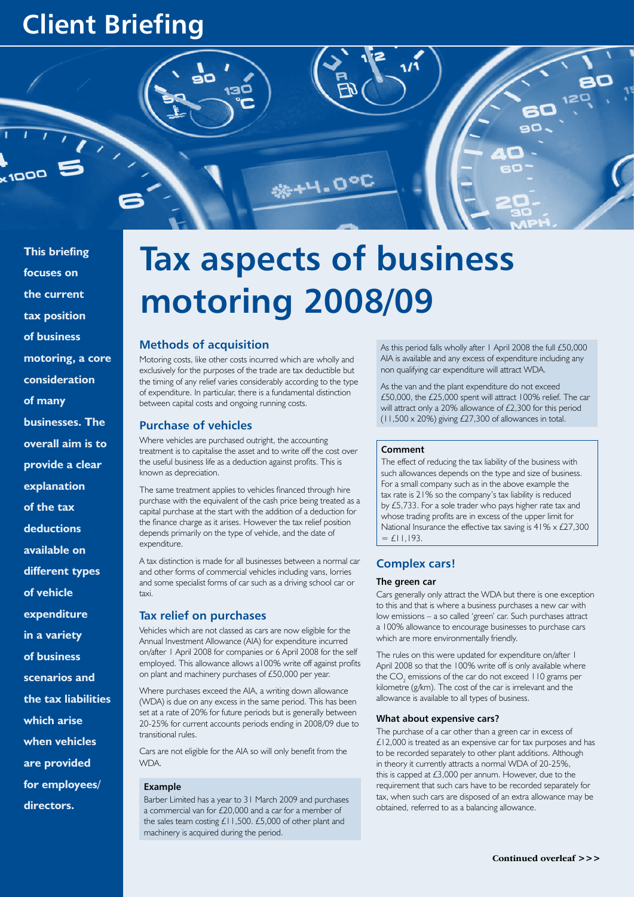# **Client Briefing**

 $\sum_{k=1}^{n}$ 

**This briefing** 

**focuses on the current tax position of business motoring, a core consideration of many businesses. The overall aim is to provide a clear explanation** 

**of the tax** 

**deductions** 

**available on** 

**different types** 

**of vehicle** 

**expenditure** 

**in a variety** 

**of business** 

**scenarios and** 

**the tax liabilities** 

**which arise** 

**when vehicles** 

**are provided** 

**for employees/**

**directors.** 

# **Tax aspects of business motoring 2008/09**

**SE-4-0°C** 

# **Methods of acquisition**

Motoring costs, like other costs incurred which are wholly and exclusively for the purposes of the trade are tax deductible but the timing of any relief varies considerably according to the type of expenditure. In particular, there is a fundamental distinction between capital costs and ongoing running costs.

# **Purchase of vehicles**

Where vehicles are purchased outright, the accounting treatment is to capitalise the asset and to write off the cost over the useful business life as a deduction against profits. This is known as depreciation.

The same treatment applies to vehicles financed through hire purchase with the equivalent of the cash price being treated as a capital purchase at the start with the addition of a deduction for the finance charge as it arises. However the tax relief position depends primarily on the type of vehicle, and the date of expenditure.

A tax distinction is made for all businesses between a normal car and other forms of commercial vehicles including vans, lorries and some specialist forms of car such as a driving school car or taxi.

# **Tax relief on purchases**

Vehicles which are not classed as cars are now eligible for the Annual Investment Allowance (AIA) for expenditure incurred on/after 1 April 2008 for companies or 6 April 2008 for the self employed. This allowance allows a100% write off against profits on plant and machinery purchases of £50,000 per year.

Where purchases exceed the AIA, a writing down allowance (WDA) is due on any excess in the same period. This has been set at a rate of 20% for future periods but is generally between 20-25% for current accounts periods ending in 2008/09 due to transitional rules.

Cars are not eligible for the AIA so will only benefit from the **WDA** 

#### **Example**

Barber Limited has a year to 31 March 2009 and purchases a commercial van for £20,000 and a car for a member of the sales team costing £11,500. £5,000 of other plant and machinery is acquired during the period.

As this period falls wholly after 1 April 2008 the full £50,000 AIA is available and any excess of expenditure including any non qualifying car expenditure will attract WDA.

As the van and the plant expenditure do not exceed £50,000, the £25,000 spent will attract 100% relief. The car will attract only a 20% allowance of £2,300 for this period  $(11,500 \times 20\%)$  giving £27,300 of allowances in total.

#### **Comment**

The effect of reducing the tax liability of the business with such allowances depends on the type and size of business. For a small company such as in the above example the tax rate is 21% so the company's tax liability is reduced by £5,733. For a sole trader who pays higher rate tax and whose trading profits are in excess of the upper limit for National Insurance the effective tax saving is 41% x £27,300  $=$  £11,193.

# **Complex cars!**

#### **The green car**

Cars generally only attract the WDA but there is one exception to this and that is where a business purchases a new car with low emissions – a so called 'green' car. Such purchases attract a 100% allowance to encourage businesses to purchase cars which are more environmentally friendly.

The rules on this were updated for expenditure on/after 1 April 2008 so that the 100% write off is only available where the  $\mathrm{CO}_2$  emissions of the car do not exceed 110 grams per kilometre (g/km). The cost of the car is irrelevant and the allowance is available to all types of business.

#### **What about expensive cars?**

The purchase of a car other than a green car in excess of £12,000 is treated as an expensive car for tax purposes and has to be recorded separately to other plant additions. Although in theory it currently attracts a normal WDA of 20-25%, this is capped at  $£3,000$  per annum. However, due to the requirement that such cars have to be recorded separately for tax, when such cars are disposed of an extra allowance may be obtained, referred to as a balancing allowance.